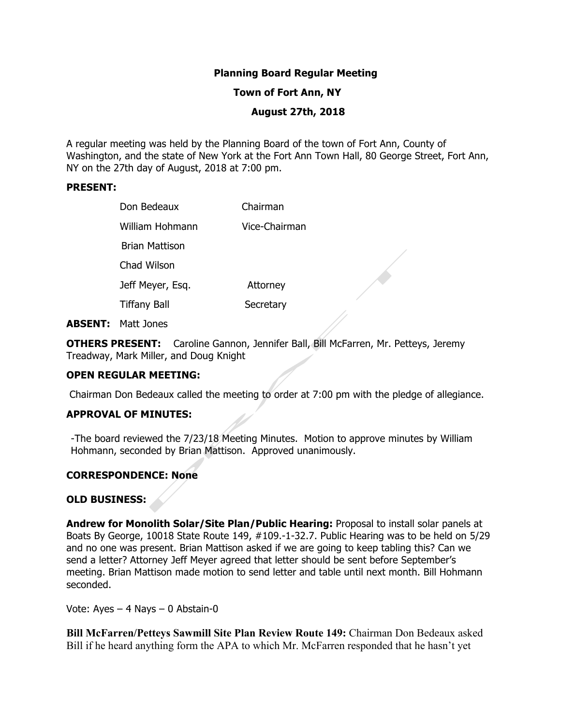## **Planning Board Regular Meeting**

### **Town of Fort Ann, NY**

#### **August 27th, 2018**

A regular meeting was held by the Planning Board of the town of Fort Ann, County of Washington, and the state of New York at the Fort Ann Town Hall, 80 George Street, Fort Ann, NY on the 27th day of August, 2018 at 7:00 pm.

#### **PRESENT:**

| Don Bedeaux         | Chairman      |
|---------------------|---------------|
| William Hohmann     | Vice-Chairman |
| Brian Mattison      |               |
| Chad Wilson         |               |
| Jeff Meyer, Esq.    | Attorney      |
| <b>Tiffany Ball</b> | Secretary     |
|                     |               |

**ABSENT:** Matt Jones

**OTHERS PRESENT:** Caroline Gannon, Jennifer Ball, Bill McFarren, Mr. Petteys, Jeremy Treadway, Mark Miller, and Doug Knight

### **OPEN REGULAR MEETING:**

Chairman Don Bedeaux called the meeting to order at 7:00 pm with the pledge of allegiance.

### **APPROVAL OF MINUTES:**

-The board reviewed the 7/23/18 Meeting Minutes. Motion to approve minutes by William Hohmann, seconded by Brian Mattison. Approved unanimously.

## **CORRESPONDENCE: None**

## **OLD BUSINESS:**

**Andrew for Monolith Solar/Site Plan/Public Hearing:** Proposal to install solar panels at Boats By George, 10018 State Route 149, #109.-1-32.7. Public Hearing was to be held on 5/29 and no one was present. Brian Mattison asked if we are going to keep tabling this? Can we send a letter? Attorney Jeff Meyer agreed that letter should be sent before September's meeting. Brian Mattison made motion to send letter and table until next month. Bill Hohmann seconded.

Vote: Ayes – 4 Nays – 0 Abstain-0

**Bill McFarren/Petteys Sawmill Site Plan Review Route 149:** Chairman Don Bedeaux asked Bill if he heard anything form the APA to which Mr. McFarren responded that he hasn't yet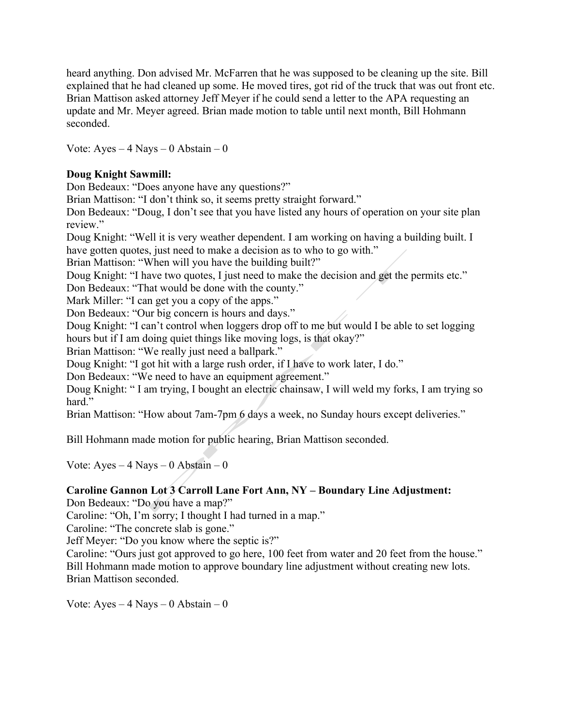heard anything. Don advised Mr. McFarren that he was supposed to be cleaning up the site. Bill explained that he had cleaned up some. He moved tires, got rid of the truck that was out front etc. Brian Mattison asked attorney Jeff Meyer if he could send a letter to the APA requesting an update and Mr. Meyer agreed. Brian made motion to table until next month, Bill Hohmann seconded.

Vote: Ayes  $-4$  Nays  $-0$  Abstain  $-0$ 

# **Doug Knight Sawmill:**

Don Bedeaux: "Does anyone have any questions?"

Brian Mattison: "I don't think so, it seems pretty straight forward."

Don Bedeaux: "Doug, I don't see that you have listed any hours of operation on your site plan review."

Doug Knight: "Well it is very weather dependent. I am working on having a building built. I have gotten quotes, just need to make a decision as to who to go with."

Brian Mattison: "When will you have the building built?"

Doug Knight: "I have two quotes, I just need to make the decision and get the permits etc."

Don Bedeaux: "That would be done with the county."

Mark Miller: "I can get you a copy of the apps."

Don Bedeaux: "Our big concern is hours and days."

Doug Knight: "I can't control when loggers drop off to me but would I be able to set logging hours but if I am doing quiet things like moving logs, is that okay?"

Brian Mattison: "We really just need a ballpark."

Doug Knight: "I got hit with a large rush order, if I have to work later, I do."

Don Bedeaux: "We need to have an equipment agreement."

Doug Knight: " I am trying, I bought an electric chainsaw, I will weld my forks, I am trying so hard."

Brian Mattison: "How about 7am-7pm 6 days a week, no Sunday hours except deliveries."

Bill Hohmann made motion for public hearing, Brian Mattison seconded.

Vote:  $Ayes - 4$  Nays  $- 0$  Abstain  $- 0$ 

### **Caroline Gannon Lot 3 Carroll Lane Fort Ann, NY – Boundary Line Adjustment:**

Don Bedeaux: "Do you have a map?"

Caroline: "Oh, I'm sorry; I thought I had turned in a map."

Caroline: "The concrete slab is gone."

Jeff Meyer: "Do you know where the septic is?"

Caroline: "Ours just got approved to go here, 100 feet from water and 20 feet from the house." Bill Hohmann made motion to approve boundary line adjustment without creating new lots. Brian Mattison seconded.

Vote:  $Ayes - 4$  Nays – 0 Abstain – 0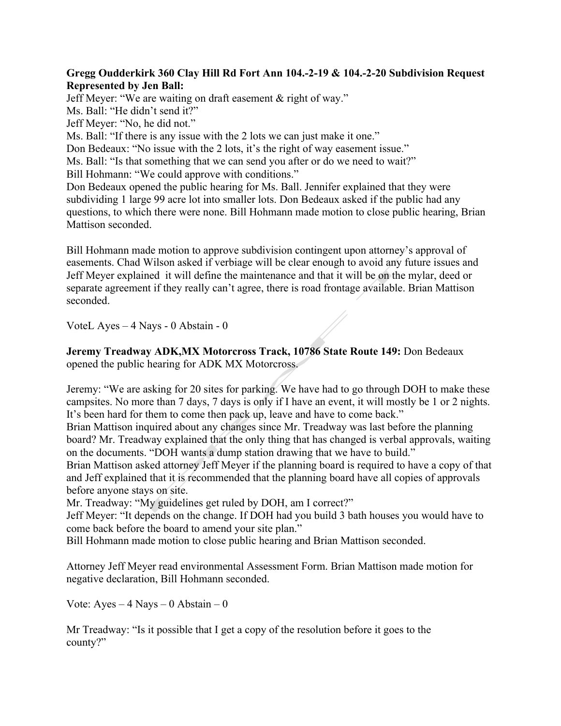## **Gregg Oudderkirk 360 Clay Hill Rd Fort Ann 104.-2-19 & 104.-2-20 Subdivision Request Represented by Jen Ball:**

Jeff Meyer: "We are waiting on draft easement & right of way."

Ms. Ball: "He didn't send it?"

Jeff Meyer: "No, he did not."

Ms. Ball: "If there is any issue with the 2 lots we can just make it one."

Don Bedeaux: "No issue with the 2 lots, it's the right of way easement issue."

Ms. Ball: "Is that something that we can send you after or do we need to wait?"

Bill Hohmann: "We could approve with conditions."

Don Bedeaux opened the public hearing for Ms. Ball. Jennifer explained that they were subdividing 1 large 99 acre lot into smaller lots. Don Bedeaux asked if the public had any questions, to which there were none. Bill Hohmann made motion to close public hearing, Brian Mattison seconded.

Bill Hohmann made motion to approve subdivision contingent upon attorney's approval of easements. Chad Wilson asked if verbiage will be clear enough to avoid any future issues and Jeff Meyer explained it will define the maintenance and that it will be on the mylar, deed or separate agreement if they really can't agree, there is road frontage available. Brian Mattison seconded.

VoteL Ayes – 4 Nays - 0 Abstain - 0

**Jeremy Treadway ADK,MX Motorcross Track, 10786 State Route 149:** Don Bedeaux opened the public hearing for ADK MX Motorcross.

Jeremy: "We are asking for 20 sites for parking. We have had to go through DOH to make these campsites. No more than 7 days, 7 days is only if I have an event, it will mostly be 1 or 2 nights. It's been hard for them to come then pack up, leave and have to come back."

Brian Mattison inquired about any changes since Mr. Treadway was last before the planning board? Mr. Treadway explained that the only thing that has changed is verbal approvals, waiting on the documents. "DOH wants a dump station drawing that we have to build."

Brian Mattison asked attorney Jeff Meyer if the planning board is required to have a copy of that and Jeff explained that it is recommended that the planning board have all copies of approvals before anyone stays on site.

Mr. Treadway: "My guidelines get ruled by DOH, am I correct?"

Jeff Meyer: "It depends on the change. If DOH had you build 3 bath houses you would have to come back before the board to amend your site plan."

Bill Hohmann made motion to close public hearing and Brian Mattison seconded.

Attorney Jeff Meyer read environmental Assessment Form. Brian Mattison made motion for negative declaration, Bill Hohmann seconded.

Vote:  $Ayes - 4$  Nays – 0 Abstain – 0

Mr Treadway: "Is it possible that I get a copy of the resolution before it goes to the county?"